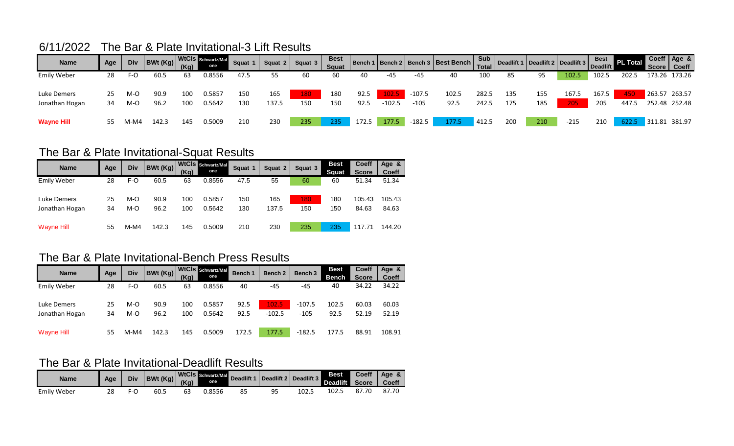## 6/11/2022 The Bar & Plate Invitational-3 Lift Results

| <b>Name</b>        | Age |      | IV BWt (Kg) WtCls Schwartz/Mal |     |        | Squat 1 |       | Squat 2   Squat 3 | <b>Best</b><br>Squat |       |          |          | Bench 1 Bench 2 Bench 3 Best Bench Sub<br>Total Deadlift 2 Deadlift 3 Best PL Total |                |     |     |        |       |       |               | Coeff Age &<br>Score   Coeff |
|--------------------|-----|------|--------------------------------|-----|--------|---------|-------|-------------------|----------------------|-------|----------|----------|-------------------------------------------------------------------------------------|----------------|-----|-----|--------|-------|-------|---------------|------------------------------|
| <b>Emily Weber</b> | 28  | F-O  | 60.5                           | 63  | 0.8556 | 47.5    |       | 60                | 60                   | 40    | -45      | -45      | 40                                                                                  | 100            | 85  | 95  | 102.5  | 102.5 | 202.5 |               | 173.26 173.26                |
| <b>Luke Demers</b> | 25  | M-O  | 90.9                           | 100 | 0.5857 | 150     | 165   | 180               | 180                  | 92.5  | 102.5    | $-107.5$ | 102.5                                                                               | 282.5          | 135 | 155 | 167.5  | 167.5 | 450   | 263.57 263.57 |                              |
| Jonathan Hogan     | 34  | M-O  | 96.2                           | 100 | 0.5642 | 130     | 137.5 | 150               | 150                  | 92.5  | $-102.5$ | $-105$   | 92.5                                                                                | 242.5          | 175 | 185 | 205    | 205   | 447.5 |               | 252.48 252.48                |
| <b>Wayne Hill</b>  | 55  | M-M4 | 142.3                          | 145 | 0.5009 | 210     | 230   | 235               | 235                  | 172.5 | 177.5    | -182.5   | 177.5                                                                               | $\sqrt{412.5}$ | 200 | 210 | $-215$ | 210   | 622.5 | 311.81 381.97 |                              |

## The Bar & Plate Invitational-Squat Results

| <b>Name</b>        | Age | Div    | BWt (Kg) | (Kg) | WtCls Schwartz/Mal<br>one | <b>Squat</b> | Squat 2 | Squat 3 | <b>Best</b><br><b>Squat</b> | <b>Coeff</b><br><b>Score</b> | Age &<br><b>Coeff</b> |
|--------------------|-----|--------|----------|------|---------------------------|--------------|---------|---------|-----------------------------|------------------------------|-----------------------|
| <b>Emily Weber</b> | 28  | F-O    | 60.5     | 63   | 0.8556                    | 47.5         | 55      | 60      | 60                          | 51.34                        | 51.34                 |
| Luke Demers        | 25  | M-O    | 90.9     | 100  | 0.5857                    | 150          | 165     | 180     | 180                         | 105.43                       | 105.43                |
| Jonathan Hogan     | 34  | M-O    | 96.2     | 100  | 0.5642                    | 130          | 137.5   | 150     | 150                         | 84.63                        | 84.63                 |
| <b>Wayne Hill</b>  | 55  | $M-M4$ | 142.3    | 145  | 0.5009                    | 210          | 230     | 235     | 235                         | 117.71                       | 144.20                |

## The Bar & Plate Invitational-Bench Press Results

| <b>Name</b>        | Age | <b>Div</b> | BWt (Kg) | (Kg) | WtCls Schwartz/Mal<br>one | Bench 1 | Bench <sub>2</sub> | Bench 3  | <b>Best</b><br><b>Bench</b> | <b>Coeff</b><br><b>Score</b> | Age &<br><b>Coeff</b> |
|--------------------|-----|------------|----------|------|---------------------------|---------|--------------------|----------|-----------------------------|------------------------------|-----------------------|
| <b>Emily Weber</b> | 28  | $F-O$      | 60.5     | 63   | 0.8556                    | 40      | $-45$              | $-45$    | 40                          | 34.22                        | 34.22                 |
| Luke Demers        | 25  | M-O        | 90.9     | 100  | 0.5857                    | 92.5    | 102.5              | $-107.5$ | 102.5                       | 60.03                        | 60.03                 |
| Jonathan Hogan     | 34  | M-O        | 96.2     | 100  | 0.5642                    | 92.5    | $-102.5$           | $-105$   | 92.5                        | 52.19                        | 52.19                 |
| Wayne Hill         | 55  | $M-M4$     | 142.3    | 145  | 0.5009                    | 172.5   | 177.5              | $-182.5$ | 177.5                       | 88.91                        | 108.91                |

## The Bar & Plate Invitational-Deadlift Results

| Name               | Age | Div | WtCls Schwartz/Mal Deadlift 1   Deadline<br>BWt(Kg) | (Ka) | one    |    | Deadlift 2   Deadlift 3 |       | <b>Best</b><br>Deadlift | <b>Coeff</b><br><b>Score</b> | Age<br>Õ.<br><b>Coeff</b> |
|--------------------|-----|-----|-----------------------------------------------------|------|--------|----|-------------------------|-------|-------------------------|------------------------------|---------------------------|
| <b>Emily Weber</b> | ∠⊂  |     | 60.5                                                | ΟJ   | 0.8556 | 85 | 95                      | 102.5 | 102.!                   | 87<br>.70                    | 87.70                     |